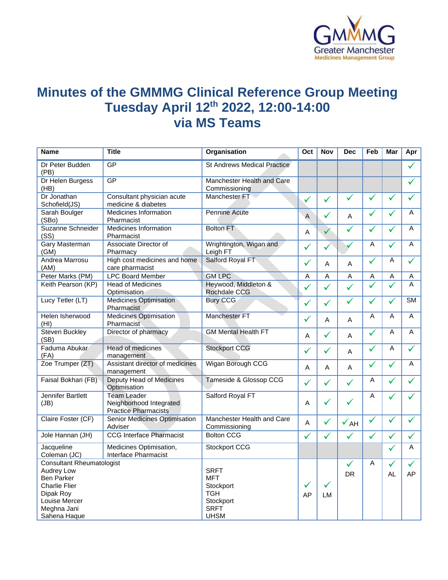

## **Minutes of the GMMMG Clinical Reference Group Meeting Tuesday April 12th 2022, 12:00-14:00 via MS Teams**

| <b>Title</b><br>Organisation<br><b>Nov</b><br><b>Name</b><br>Oct                                                                               | <b>Dec</b>      | Feb          | Mar          | Apr                    |
|------------------------------------------------------------------------------------------------------------------------------------------------|-----------------|--------------|--------------|------------------------|
| GP<br>Dr Peter Budden<br><b>St Andrews Medical Practice</b><br>(PB)                                                                            |                 |              |              | ✓                      |
| GP<br>Dr Helen Burgess<br>Manchester Health and Care<br>(HB)<br>Commissioning                                                                  |                 |              |              |                        |
| Dr Jonathan<br>Consultant physician acute<br>Manchester FT<br>$\checkmark$<br>$\checkmark$<br>Schofield(JS)<br>medicine & diabetes             | $\checkmark$    | ✓            | ✓            | ✓                      |
| Sarah Boulger<br>Medicines Information<br><b>Pennine Acute</b><br>$\checkmark$<br>$\overline{A}$<br>(SBo)<br>Pharmacist                        | A               | $\checkmark$ | ✓            | A                      |
| Suzanne Schneider<br><b>Medicines Information</b><br><b>Bolton FT</b><br>$\checkmark$<br>$\overline{A}$<br>(SS)<br>Pharmacist                  | ✓               | $\checkmark$ | ✓            | A                      |
| <b>Gary Masterman</b><br>Associate Director of<br>Wrightington, Wigan and<br>✓<br>✓<br>(GM)<br>Pharmacy<br>Leigh FT                            |                 | A            | ✓            | A                      |
| <b>Andrea Marrosu</b><br>Salford Royal FT<br>High cost medicines and home<br>$\checkmark$<br>Α<br>(AM)<br>care pharmacist                      | $\overline{A}$  | ✓            | Α            | ✓                      |
| <b>GM LPC</b><br>Peter Marks (PM)<br><b>LPC Board Member</b><br>$\boldsymbol{\mathsf{A}}$<br>A                                                 | $\mathsf A$     | A            | Α            | Α                      |
| Keith Pearson (KP)<br>Heywood, Middleton &<br><b>Head of Medicines</b><br>$\checkmark$<br>Rochdale CCG<br>Optimisation                         | $\checkmark$    | $\checkmark$ | ✓            | A                      |
| Lucy Tetler (LT)<br><b>Medicines Optimisation</b><br><b>Bury CCG</b><br>$\checkmark$<br>$\checkmark$<br>Pharmacist                             | $\checkmark$    | ✓            | ✓            | $\overline{\text{SM}}$ |
| <b>Manchester FT</b><br>Helen Isherwood<br><b>Medicines Optimisation</b><br>$\checkmark$<br>A<br>(HI)<br>Pharmacist                            | A               | A            | A            | A                      |
| <b>Steven Buckley</b><br>Director of pharmacy<br><b>GM Mental Health FT</b><br>$\checkmark$<br>Α<br>(SB)                                       | A               | $\checkmark$ | A            | A                      |
| Faduma Abukar<br><b>Head of medicines</b><br><b>Stockport CCG</b><br>$\checkmark$<br>$\checkmark$<br>(FA)<br>management                        | A               | $\checkmark$ | A            | ✓                      |
| Zoe Trumper (ZT)<br><b>Wigan Borough CCG</b><br>Assistant director of medicines<br>A<br>A<br>management                                        | Α               | $\checkmark$ | ✓            | A                      |
| Deputy Head of Medicines<br>Tameside & Glossop CCG<br>Faisal Bokhari (FB)<br>$\checkmark$<br>$\checkmark$<br>Optimisation                      | $\checkmark$    | A            | ✓            | $\checkmark$           |
| <b>Jennifer Bartlett</b><br><b>Team Leader</b><br>Salford Royal FT<br>✓<br>Neighborhood Integrated<br>A<br>(JB)<br><b>Practice Pharmacists</b> | ✓               | A            |              |                        |
| Manchester Health and Care<br>Claire Foster (CF)<br>Senior Medicines Optimisation<br>$\checkmark$<br>$\mathsf A$<br>Adviser<br>Commissioning   | $\checkmark$ AH | $\checkmark$ | $\checkmark$ | $\checkmark$           |
| <b>CCG Interface Pharmacist</b><br><b>Bolton CCG</b><br>Jole Hannan (JH)<br>$\checkmark$<br>$\checkmark$                                       | $\checkmark$    | $\checkmark$ | ✓            | ✓                      |
| Jacqueline<br>Medicines Optimisation,<br>Stockport CCG<br>Interface Pharmacist<br>Coleman (JC)                                                 |                 |              | $\checkmark$ | Α                      |
| <b>Consultant Rheumatologist</b>                                                                                                               | ✓               | A            | ✓            | ✓                      |
| Audrey Low<br><b>SRFT</b>                                                                                                                      | <b>DR</b>       |              | AL           | AP                     |
| <b>Ben Parker</b><br><b>MFT</b>                                                                                                                |                 |              |              |                        |
| ✓<br>✓<br>Charlie Flier<br>Stockport                                                                                                           |                 |              |              |                        |
| <b>TGH</b><br>Dipak Roy<br>AP<br>LM                                                                                                            |                 |              |              |                        |
| Louise Mercer<br>Stockport<br>Meghna Jani<br><b>SRFT</b>                                                                                       |                 |              |              |                        |
| <b>UHSM</b><br>Sahena Haque                                                                                                                    |                 |              |              |                        |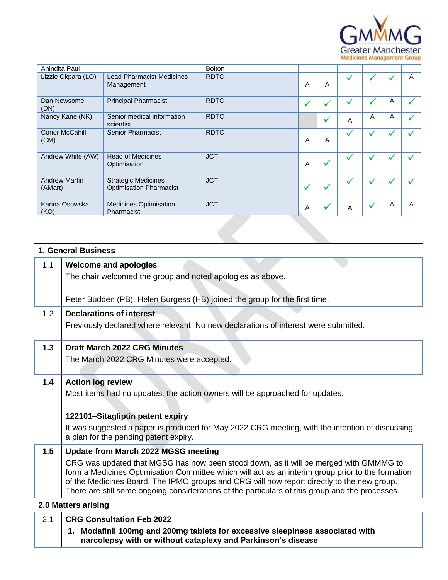

| Anindita Paul                   |                                                              | <b>Bolton</b> |   |                |   |   |   |   |
|---------------------------------|--------------------------------------------------------------|---------------|---|----------------|---|---|---|---|
| Lizzie Okpara (LO)              | <b>Lead Pharmacist Medicines</b><br>Management               | <b>RDTC</b>   | A | $\overline{A}$ | M |   |   | A |
| Dan Newsome<br>(DN)             | <b>Principal Pharmacist</b>                                  | <b>RDTC</b>   | ✔ | ✔              |   |   | Α |   |
| Nancy Kane (NK)                 | Senior medical information<br>scientist                      | <b>RDTC</b>   |   | √              | A | A | A |   |
| Conor McCahill<br>(CM)          | Senior Pharmacist                                            | <b>RDTC</b>   | A | A              | v |   |   |   |
| Andrew White (AW)               | <b>Head of Medicines</b><br>Optimisation                     | <b>JCT</b>    | A | ✔              |   |   |   |   |
| <b>Andrew Martin</b><br>(AMart) | <b>Strategic Medicines</b><br><b>Optimisation Pharmacist</b> | <b>JCT</b>    | ✔ | v              |   |   |   |   |
| Karina Osowska<br>(KO)          | <b>Medicines Optimisation</b><br>Pharmacist                  | <b>JCT</b>    | A | ✔              | A |   | A | A |
|                                 |                                                              |               |   |                |   |   |   |   |

|     | <b>1. General Business</b>                                                                                                                                                                    |
|-----|-----------------------------------------------------------------------------------------------------------------------------------------------------------------------------------------------|
| 1.1 | <b>Welcome and apologies</b>                                                                                                                                                                  |
|     | The chair welcomed the group and noted apologies as above.                                                                                                                                    |
|     |                                                                                                                                                                                               |
|     | Peter Budden (PB), Helen Burgess (HB) joined the group for the first time.                                                                                                                    |
| 1.2 | <b>Declarations of interest</b>                                                                                                                                                               |
|     | Previously declared where relevant. No new declarations of interest were submitted.                                                                                                           |
| 1.3 | <b>Draft March 2022 CRG Minutes</b>                                                                                                                                                           |
|     | The March 2022 CRG Minutes were accepted.                                                                                                                                                     |
|     |                                                                                                                                                                                               |
| 1.4 | <b>Action log review</b>                                                                                                                                                                      |
|     | Most items had no updates, the action owners will be approached for updates.                                                                                                                  |
|     |                                                                                                                                                                                               |
|     | 122101-Sitagliptin patent expiry                                                                                                                                                              |
|     | It was suggested a paper is produced for May 2022 CRG meeting, with the intention of discussing<br>a plan for the pending patent expiry.                                                      |
| 1.5 | <b>Update from March 2022 MGSG meeting</b>                                                                                                                                                    |
|     | CRG was updated that MGSG has now been stood down, as it will be merged with GMMMG to                                                                                                         |
|     | form a Medicines Optimisation Committee which will act as an interim group prior to the formation                                                                                             |
|     | of the Medicines Board. The IPMO groups and CRG will now report directly to the new group.<br>There are still some ongoing considerations of the particulars of this group and the processes. |
|     | 2.0 Matters arising                                                                                                                                                                           |
|     |                                                                                                                                                                                               |
| 2.1 | <b>CRG Consultation Feb 2022</b>                                                                                                                                                              |
|     | 1. Modafinil 100mg and 200mg tablets for excessive sleepiness associated with<br>narcolepsy with or without cataplexy and Parkinson's disease                                                 |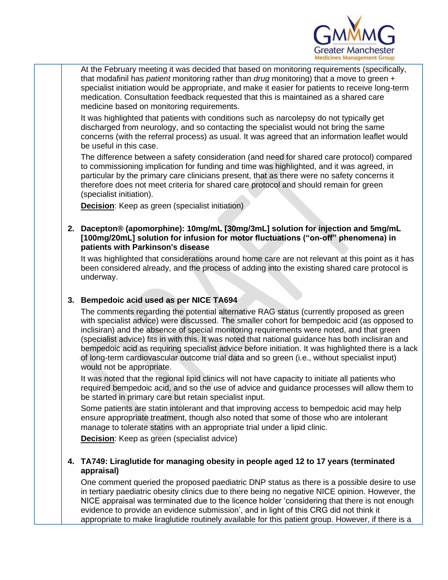

At the February meeting it was decided that based on monitoring requirements (specifically, that modafinil has *patient* monitoring rather than *drug* monitoring) that a move to green + specialist initiation would be appropriate, and make it easier for patients to receive long-term medication. Consultation feedback requested that this is maintained as a shared care medicine based on monitoring requirements.

It was highlighted that patients with conditions such as narcolepsy do not typically get discharged from neurology, and so contacting the specialist would not bring the same concerns (with the referral process) as usual. It was agreed that an information leaflet would be useful in this case.

The difference between a safety consideration (and need for shared care protocol) compared to commissioning implication for funding and time was highlighted, and it was agreed, in particular by the primary care clinicians present, that as there were no safety concerns it therefore does not meet criteria for shared care protocol and should remain for green (specialist initiation).

**Decision**: Keep as green (specialist initiation)

**2. Dacepton® (apomorphine): 10mg/mL [30mg/3mL] solution for injection and 5mg/mL [100mg/20mL] solution for infusion for motor fluctuations ("on-off" phenomena) in patients with Parkinson's disease**

It was highlighted that considerations around home care are not relevant at this point as it has been considered already, and the process of adding into the existing shared care protocol is underway.

## **3. Bempedoic acid used as per NICE TA694**

The comments regarding the potential alternative RAG status (currently proposed as green with specialist advice) were discussed. The smaller cohort for bempedoic acid (as opposed to inclisiran) and the absence of special monitoring requirements were noted, and that green (specialist advice) fits in with this. It was noted that national guidance has both inclisiran and bempedoic acid as requiring specialist advice before initiation. It was highlighted there is a lack of long-term cardiovascular outcome trial data and so green (i.e., without specialist input) would not be appropriate.

It was noted that the regional lipid clinics will not have capacity to initiate all patients who required bempedoic acid, and so the use of advice and guidance processes will allow them to be started in primary care but retain specialist input.

Some patients are statin intolerant and that improving access to bempedoic acid may help ensure appropriate treatment, though also noted that some of those who are intolerant manage to tolerate statins with an appropriate trial under a lipid clinic.

**Decision**: Keep as green (specialist advice)

## **4. TA749: Liraglutide for managing obesity in people aged 12 to 17 years (terminated appraisal)**

One comment queried the proposed paediatric DNP status as there is a possible desire to use in tertiary paediatric obesity clinics due to there being no negative NICE opinion. However, the NICE appraisal was terminated due to the licence holder 'considering that there is not enough evidence to provide an evidence submission', and in light of this CRG did not think it appropriate to make liraglutide routinely available for this patient group. However, if there is a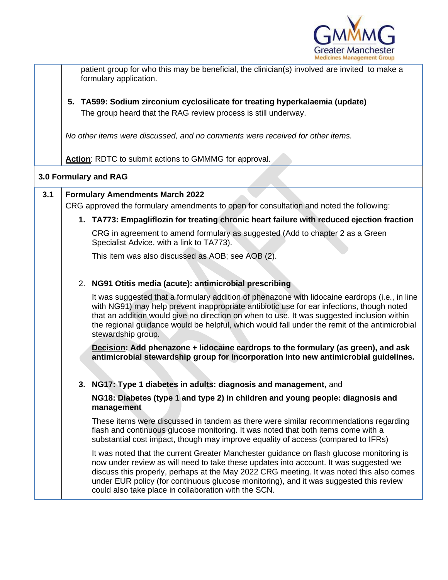

patient group for who this may be beneficial, the clinician(s) involved are invited to make a formulary application. **5. TA599: Sodium zirconium cyclosilicate for treating hyperkalaemia (update)** The group heard that the RAG review process is still underway. *No other items were discussed, and no comments were received for other items.* **Action**: RDTC to submit actions to GMMMG for approval. **3.0 Formulary and RAG 3.1 Formulary Amendments March 2022** CRG approved the formulary amendments to open for consultation and noted the following: **1. TA773: Empagliflozin for treating chronic heart failure with reduced ejection fraction** CRG in agreement to amend formulary as suggested (Add to chapter 2 as a Green Specialist Advice, with a link to TA773). This item was also discussed as AOB; see AOB (2). 2. **NG91 Otitis media (acute): antimicrobial prescribing**  It was suggested that a formulary addition of phenazone with lidocaine eardrops (i.e., in line with NG91) may help prevent inappropriate antibiotic use for ear infections, though noted that an addition would give no direction on when to use. It was suggested inclusion within the regional guidance would be helpful, which would fall under the remit of the antimicrobial stewardship group. **Decision: Add phenazone + lidocaine eardrops to the formulary (as green), and ask antimicrobial stewardship group for incorporation into new antimicrobial guidelines. 3. NG17: Type 1 diabetes in adults: diagnosis and management,** and **NG18: Diabetes (type 1 and type 2) in children and young people: diagnosis and management** These items were discussed in tandem as there were similar recommendations regarding flash and continuous glucose monitoring. It was noted that both items come with a substantial cost impact, though may improve equality of access (compared to IFRs) It was noted that the current Greater Manchester guidance on flash glucose monitoring is now under review as will need to take these updates into account. It was suggested we discuss this properly, perhaps at the May 2022 CRG meeting. It was noted this also comes under EUR policy (for continuous glucose monitoring), and it was suggested this review could also take place in collaboration with the SCN.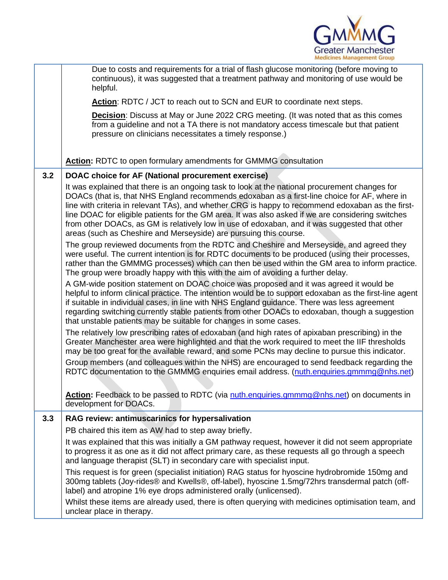

|     | Due to costs and requirements for a trial of flash glucose monitoring (before moving to<br>continuous), it was suggested that a treatment pathway and monitoring of use would be<br>helpful.                                                                                                                                                                                                                                                                                                                                                                                   |
|-----|--------------------------------------------------------------------------------------------------------------------------------------------------------------------------------------------------------------------------------------------------------------------------------------------------------------------------------------------------------------------------------------------------------------------------------------------------------------------------------------------------------------------------------------------------------------------------------|
|     | Action: RDTC / JCT to reach out to SCN and EUR to coordinate next steps.                                                                                                                                                                                                                                                                                                                                                                                                                                                                                                       |
|     | <b>Decision:</b> Discuss at May or June 2022 CRG meeting. (It was noted that as this comes<br>from a guideline and not a TA there is not mandatory access timescale but that patient<br>pressure on clinicians necessitates a timely response.)                                                                                                                                                                                                                                                                                                                                |
|     | <b>Action:</b> RDTC to open formulary amendments for GMMMG consultation                                                                                                                                                                                                                                                                                                                                                                                                                                                                                                        |
| 3.2 | DOAC choice for AF (National procurement exercise)                                                                                                                                                                                                                                                                                                                                                                                                                                                                                                                             |
|     | It was explained that there is an ongoing task to look at the national procurement changes for<br>DOACs (that is, that NHS England recommends edoxaban as a first-line choice for AF, where in<br>line with criteria in relevant TAs), and whether CRG is happy to recommend edoxaban as the first-<br>line DOAC for eligible patients for the GM area. It was also asked if we are considering switches<br>from other DOACs, as GM is relatively low in use of edoxaban, and it was suggested that other<br>areas (such as Cheshire and Merseyside) are pursuing this course. |
|     | The group reviewed documents from the RDTC and Cheshire and Merseyside, and agreed they<br>were useful. The current intention is for RDTC documents to be produced (using their processes,<br>rather than the GMMMG processes) which can then be used within the GM area to inform practice.<br>The group were broadly happy with this with the aim of avoiding a further delay.                                                                                                                                                                                               |
|     | A GM-wide position statement on DOAC choice was proposed and it was agreed it would be<br>helpful to inform clinical practice. The intention would be to support edoxaban as the first-line agent<br>if suitable in individual cases, in line with NHS England guidance. There was less agreement<br>regarding switching currently stable patients from other DOACs to edoxaban, though a suggestion<br>that unstable patients may be suitable for changes in some cases.                                                                                                      |
|     | The relatively low prescribing rates of edoxaban (and high rates of apixaban prescribing) in the<br>Greater Manchester area were highlighted and that the work required to meet the IIF thresholds<br>may be too great for the available reward, and some PCNs may decline to pursue this indicator.                                                                                                                                                                                                                                                                           |
|     | Group members (and colleagues within the NHS) are encouraged to send feedback regarding the<br>RDTC documentation to the GMMMG enquiries email address. (nuth.enquiries.gmmmg@nhs.net)                                                                                                                                                                                                                                                                                                                                                                                         |
|     | Action: Feedback to be passed to RDTC (via nuth.enquiries.gmmmg@nhs.net) on documents in<br>development for DOACs.                                                                                                                                                                                                                                                                                                                                                                                                                                                             |
| 3.3 | RAG review: antimuscarinics for hypersalivation                                                                                                                                                                                                                                                                                                                                                                                                                                                                                                                                |
|     | PB chaired this item as AW had to step away briefly.                                                                                                                                                                                                                                                                                                                                                                                                                                                                                                                           |
|     | It was explained that this was initially a GM pathway request, however it did not seem appropriate<br>to progress it as one as it did not affect primary care, as these requests all go through a speech<br>and language therapist (SLT) in secondary care with specialist input.                                                                                                                                                                                                                                                                                              |
|     | This request is for green (specialist initiation) RAG status for hyoscine hydrobromide 150mg and<br>300mg tablets (Joy-rides® and Kwells®, off-label), hyoscine 1.5mg/72hrs transdermal patch (off-<br>label) and atropine 1% eye drops administered orally (unlicensed).                                                                                                                                                                                                                                                                                                      |
|     | Whilst these items are already used, there is often querying with medicines optimisation team, and<br>unclear place in therapy.                                                                                                                                                                                                                                                                                                                                                                                                                                                |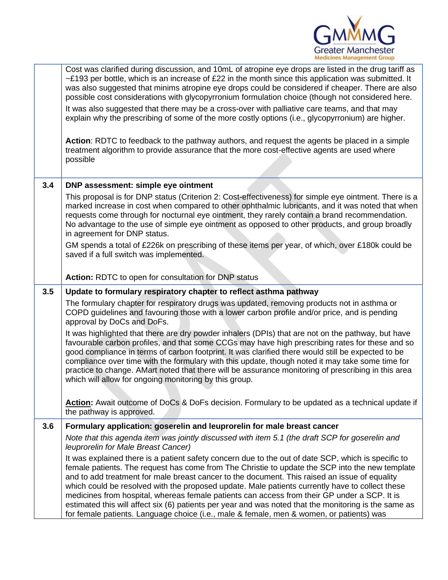

|     | Cost was clarified during discussion, and 10mL of atropine eye drops are listed in the drug tariff as<br>$\sim$ £193 per bottle, which is an increase of £22 in the month since this application was submitted. It<br>was also suggested that minims atropine eye drops could be considered if cheaper. There are also<br>possible cost considerations with glycopyrronium formulation choice (though not considered here.<br>It was also suggested that there may be a cross-over with palliative care teams, and that may<br>explain why the prescribing of some of the more costly options (i.e., glycopyrronium) are higher.<br>Action: RDTC to feedback to the pathway authors, and request the agents be placed in a simple<br>treatment algorithm to provide assurance that the more cost-effective agents are used where<br>possible |
|-----|----------------------------------------------------------------------------------------------------------------------------------------------------------------------------------------------------------------------------------------------------------------------------------------------------------------------------------------------------------------------------------------------------------------------------------------------------------------------------------------------------------------------------------------------------------------------------------------------------------------------------------------------------------------------------------------------------------------------------------------------------------------------------------------------------------------------------------------------|
| 3.4 | DNP assessment: simple eye ointment                                                                                                                                                                                                                                                                                                                                                                                                                                                                                                                                                                                                                                                                                                                                                                                                          |
|     | This proposal is for DNP status (Criterion 2: Cost-effectiveness) for simple eye ointment. There is a<br>marked increase in cost when compared to other ophthalmic lubricants, and it was noted that when<br>requests come through for nocturnal eye ointment, they rarely contain a brand recommendation.<br>No advantage to the use of simple eye ointment as opposed to other products, and group broadly<br>in agreement for DNP status.                                                                                                                                                                                                                                                                                                                                                                                                 |
|     | GM spends a total of £226k on prescribing of these items per year, of which, over £180k could be<br>saved if a full switch was implemented.                                                                                                                                                                                                                                                                                                                                                                                                                                                                                                                                                                                                                                                                                                  |
|     | Action: RDTC to open for consultation for DNP status                                                                                                                                                                                                                                                                                                                                                                                                                                                                                                                                                                                                                                                                                                                                                                                         |
| 3.5 | Update to formulary respiratory chapter to reflect asthma pathway                                                                                                                                                                                                                                                                                                                                                                                                                                                                                                                                                                                                                                                                                                                                                                            |
|     | The formulary chapter for respiratory drugs was updated, removing products not in asthma or<br>COPD guidelines and favouring those with a lower carbon profile and/or price, and is pending<br>approval by DoCs and DoFs.                                                                                                                                                                                                                                                                                                                                                                                                                                                                                                                                                                                                                    |
|     | It was highlighted that there are dry powder inhalers (DPIs) that are not on the pathway, but have<br>favourable carbon profiles, and that some CCGs may have high prescribing rates for these and so<br>good compliance in terms of carbon footprint. It was clarified there would still be expected to be<br>compliance over time with the formulary with this update, though noted it may take some time for<br>practice to change. AMart noted that there will be assurance monitoring of prescribing in this area<br>which will allow for ongoing monitoring by this group.                                                                                                                                                                                                                                                             |
|     | Action: Await outcome of DoCs & DoFs decision. Formulary to be updated as a technical update if<br>the pathway is approved.                                                                                                                                                                                                                                                                                                                                                                                                                                                                                                                                                                                                                                                                                                                  |
| 3.6 | Formulary application: goserelin and leuprorelin for male breast cancer                                                                                                                                                                                                                                                                                                                                                                                                                                                                                                                                                                                                                                                                                                                                                                      |
|     | Note that this agenda item was jointly discussed with item 5.1 (the draft SCP for goserelin and<br>leuprorelin for Male Breast Cancer)                                                                                                                                                                                                                                                                                                                                                                                                                                                                                                                                                                                                                                                                                                       |
|     | It was explained there is a patient safety concern due to the out of date SCP, which is specific to<br>female patients. The request has come from The Christie to update the SCP into the new template<br>and to add treatment for male breast cancer to the document. This raised an issue of equality<br>which could be resolved with the proposed update. Male patients currently have to collect these<br>medicines from hospital, whereas female patients can access from their GP under a SCP. It is<br>estimated this will affect six (6) patients per year and was noted that the monitoring is the same as<br>for female patients. Language choice (i.e., male & female, men & women, or patients) was                                                                                                                              |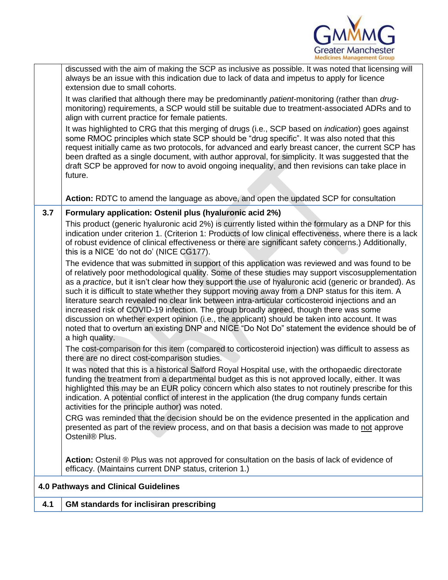

|     | Action: Ostenil ® Plus was not approved for consultation on the basis of lack of evidence of<br>efficacy. (Maintains current DNP status, criterion 1.)                                                                                                                                                                                                                                                                                                                                                                                                                                                                                                                                                                                                                                                                                             |
|-----|----------------------------------------------------------------------------------------------------------------------------------------------------------------------------------------------------------------------------------------------------------------------------------------------------------------------------------------------------------------------------------------------------------------------------------------------------------------------------------------------------------------------------------------------------------------------------------------------------------------------------------------------------------------------------------------------------------------------------------------------------------------------------------------------------------------------------------------------------|
|     | CRG was reminded that the decision should be on the evidence presented in the application and<br>presented as part of the review process, and on that basis a decision was made to not approve<br>Ostenil <sup>®</sup> Plus.                                                                                                                                                                                                                                                                                                                                                                                                                                                                                                                                                                                                                       |
|     | It was noted that this is a historical Salford Royal Hospital use, with the orthopaedic directorate<br>funding the treatment from a departmental budget as this is not approved locally, either. It was<br>highlighted this may be an EUR policy concern which also states to not routinely prescribe for this<br>indication. A potential conflict of interest in the application (the drug company funds certain<br>activities for the principle author) was noted.                                                                                                                                                                                                                                                                                                                                                                               |
|     | The cost-comparison for this item (compared to corticosteroid injection) was difficult to assess as<br>there are no direct cost-comparison studies.                                                                                                                                                                                                                                                                                                                                                                                                                                                                                                                                                                                                                                                                                                |
|     | The evidence that was submitted in support of this application was reviewed and was found to be<br>of relatively poor methodological quality. Some of these studies may support viscosupplementation<br>as a <i>practice</i> , but it isn't clear how they support the use of hyaluronic acid (generic or branded). As<br>such it is difficult to state whether they support moving away from a DNP status for this item. A<br>literature search revealed no clear link between intra-articular corticosteroid injections and an<br>increased risk of COVID-19 infection. The group broadly agreed, though there was some<br>discussion on whether expert opinion (i.e., the applicant) should be taken into account. It was<br>noted that to overturn an existing DNP and NICE "Do Not Do" statement the evidence should be of<br>a high quality. |
|     | indication under criterion 1. (Criterion 1: Products of low clinical effectiveness, where there is a lack<br>of robust evidence of clinical effectiveness or there are significant safety concerns.) Additionally,<br>this is a NICE 'do not do' (NICE CG177).                                                                                                                                                                                                                                                                                                                                                                                                                                                                                                                                                                                     |
| 3.7 | Formulary application: Ostenil plus (hyaluronic acid 2%)<br>This product (generic hyaluronic acid 2%) is currently listed within the formulary as a DNP for this                                                                                                                                                                                                                                                                                                                                                                                                                                                                                                                                                                                                                                                                                   |
|     | Action: RDTC to amend the language as above, and open the updated SCP for consultation                                                                                                                                                                                                                                                                                                                                                                                                                                                                                                                                                                                                                                                                                                                                                             |
|     | It was highlighted to CRG that this merging of drugs (i.e., SCP based on <i>indication</i> ) goes against<br>some RMOC principles which state SCP should be "drug specific". It was also noted that this<br>request initially came as two protocols, for advanced and early breast cancer, the current SCP has<br>been drafted as a single document, with author approval, for simplicity. It was suggested that the<br>draft SCP be approved for now to avoid ongoing inequality, and then revisions can take place in<br>future.                                                                                                                                                                                                                                                                                                                 |
|     | It was clarified that although there may be predominantly <i>patient</i> -monitoring (rather than drug-<br>monitoring) requirements, a SCP would still be suitable due to treatment-associated ADRs and to<br>align with current practice for female patients.                                                                                                                                                                                                                                                                                                                                                                                                                                                                                                                                                                                     |
|     | discussed with the aim of making the SCP as inclusive as possible. It was noted that licensing will<br>always be an issue with this indication due to lack of data and impetus to apply for licence<br>extension due to small cohorts.                                                                                                                                                                                                                                                                                                                                                                                                                                                                                                                                                                                                             |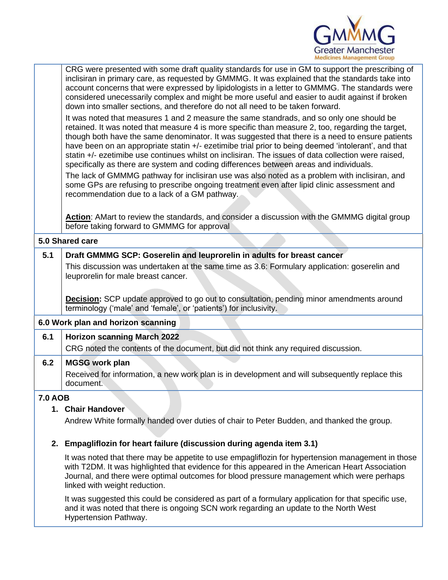

|                | CRG were presented with some draft quality standards for use in GM to support the prescribing of<br>inclisiran in primary care, as requested by GMMMG. It was explained that the standards take into<br>account concerns that were expressed by lipidologists in a letter to GMMMG. The standards were<br>considered unecessarily complex and might be more useful and easier to audit against if broken<br>down into smaller sections, and therefore do not all need to be taken forward.<br>It was noted that measures 1 and 2 measure the same standrads, and so only one should be<br>retained. It was noted that measure 4 is more specific than measure 2, too, regarding the target,<br>though both have the same denominator. It was suggested that there is a need to ensure patients<br>have been on an appropriate statin +/- ezetimibe trial prior to being deemed 'intolerant', and that<br>statin +/- ezetimibe use continues whilst on inclisiran. The issues of data collection were raised,<br>specifically as there are system and coding differences between areas and individuals.<br>The lack of GMMMG pathway for inclisiran use was also noted as a problem with inclisiran, and<br>some GPs are refusing to prescribe ongoing treatment even after lipid clinic assessment and<br>recommendation due to a lack of a GM pathway. |
|----------------|---------------------------------------------------------------------------------------------------------------------------------------------------------------------------------------------------------------------------------------------------------------------------------------------------------------------------------------------------------------------------------------------------------------------------------------------------------------------------------------------------------------------------------------------------------------------------------------------------------------------------------------------------------------------------------------------------------------------------------------------------------------------------------------------------------------------------------------------------------------------------------------------------------------------------------------------------------------------------------------------------------------------------------------------------------------------------------------------------------------------------------------------------------------------------------------------------------------------------------------------------------------------------------------------------------------------------------------------------------|
|                | Action: AMart to review the standards, and consider a discussion with the GMMMG digital group<br>before taking forward to GMMMG for approval                                                                                                                                                                                                                                                                                                                                                                                                                                                                                                                                                                                                                                                                                                                                                                                                                                                                                                                                                                                                                                                                                                                                                                                                            |
|                | 5.0 Shared care                                                                                                                                                                                                                                                                                                                                                                                                                                                                                                                                                                                                                                                                                                                                                                                                                                                                                                                                                                                                                                                                                                                                                                                                                                                                                                                                         |
| 5.1            | Draft GMMMG SCP: Goserelin and leuprorelin in adults for breast cancer                                                                                                                                                                                                                                                                                                                                                                                                                                                                                                                                                                                                                                                                                                                                                                                                                                                                                                                                                                                                                                                                                                                                                                                                                                                                                  |
|                | This discussion was undertaken at the same time as 3.6: Formulary application: goserelin and<br>leuprorelin for male breast cancer.                                                                                                                                                                                                                                                                                                                                                                                                                                                                                                                                                                                                                                                                                                                                                                                                                                                                                                                                                                                                                                                                                                                                                                                                                     |
|                | <b>Decision:</b> SCP update approved to go out to consultation, pending minor amendments around<br>terminology ('male' and 'female', or 'patients') for inclusivity.                                                                                                                                                                                                                                                                                                                                                                                                                                                                                                                                                                                                                                                                                                                                                                                                                                                                                                                                                                                                                                                                                                                                                                                    |
|                | 6.0 Work plan and horizon scanning                                                                                                                                                                                                                                                                                                                                                                                                                                                                                                                                                                                                                                                                                                                                                                                                                                                                                                                                                                                                                                                                                                                                                                                                                                                                                                                      |
| 6.1            | <b>Horizon scanning March 2022</b><br>CRG noted the contents of the document, but did not think any required discussion.                                                                                                                                                                                                                                                                                                                                                                                                                                                                                                                                                                                                                                                                                                                                                                                                                                                                                                                                                                                                                                                                                                                                                                                                                                |
| 6.2            | <b>MGSG work plan</b><br>Received for information, a new work plan is in development and will subsequently replace this<br>document.                                                                                                                                                                                                                                                                                                                                                                                                                                                                                                                                                                                                                                                                                                                                                                                                                                                                                                                                                                                                                                                                                                                                                                                                                    |
| <b>7.0 AOB</b> |                                                                                                                                                                                                                                                                                                                                                                                                                                                                                                                                                                                                                                                                                                                                                                                                                                                                                                                                                                                                                                                                                                                                                                                                                                                                                                                                                         |
|                | 1. Chair Handover                                                                                                                                                                                                                                                                                                                                                                                                                                                                                                                                                                                                                                                                                                                                                                                                                                                                                                                                                                                                                                                                                                                                                                                                                                                                                                                                       |
|                | Andrew White formally handed over duties of chair to Peter Budden, and thanked the group.                                                                                                                                                                                                                                                                                                                                                                                                                                                                                                                                                                                                                                                                                                                                                                                                                                                                                                                                                                                                                                                                                                                                                                                                                                                               |
| 2.             | Empagliflozin for heart failure (discussion during agenda item 3.1)                                                                                                                                                                                                                                                                                                                                                                                                                                                                                                                                                                                                                                                                                                                                                                                                                                                                                                                                                                                                                                                                                                                                                                                                                                                                                     |
|                | It was noted that there may be appetite to use empagliflozin for hypertension management in those<br>with T2DM. It was highlighted that evidence for this appeared in the American Heart Association                                                                                                                                                                                                                                                                                                                                                                                                                                                                                                                                                                                                                                                                                                                                                                                                                                                                                                                                                                                                                                                                                                                                                    |

with T2DM. It was highlighted that evidence for this appeared in the American Heart Association Journal, and there were optimal outcomes for blood pressure management which were perhaps linked with weight reduction.

It was suggested this could be considered as part of a formulary application for that specific use, and it was noted that there is ongoing SCN work regarding an update to the North West Hypertension Pathway.